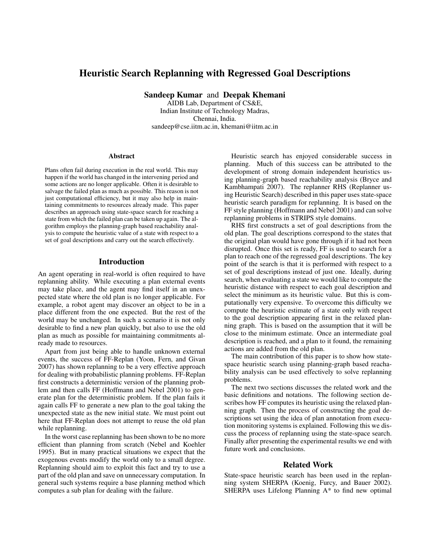# Heuristic Search Replanning with Regressed Goal Descriptions

Sandeep Kumar and Deepak Khemani

AIDB Lab, Department of CS&E, Indian Institute of Technology Madras, Chennai, India. sandeep@cse.iitm.ac.in, khemani@iitm.ac.in

#### **Abstract**

Plans often fail during execution in the real world. This may happen if the world has changed in the intervening period and some actions are no longer applicable. Often it is desirable to salvage the failed plan as much as possible. This reason is not just computational efficiency, but it may also help in maintaining commitments to resources already made. This paper describes an approach using state-space search for reaching a state from which the failed plan can be taken up again. The algorithm employs the planning-graph based reachability analysis to compute the heuristic value of a state with respect to a set of goal descriptions and carry out the search effectively.

#### Introduction

An agent operating in real-world is often required to have replanning ability. While executing a plan external events may take place, and the agent may find itself in an unexpected state where the old plan is no longer applicable. For example, a robot agent may discover an object to be in a place different from the one expected. But the rest of the world may be unchanged. In such a scenario it is not only desirable to find a new plan quickly, but also to use the old plan as much as possible for maintaining commitments already made to resources.

Apart from just being able to handle unknown external events, the success of FF-Replan (Yoon, Fern, and Givan 2007) has shown replanning to be a very effective approach for dealing with probabilistic planning problems. FF-Replan first constructs a deterministic version of the planning problem and then calls FF (Hoffmann and Nebel 2001) to generate plan for the deterministic problem. If the plan fails it again calls FF to generate a new plan to the goal taking the unexpected state as the new initial state. We must point out here that FF-Replan does not attempt to reuse the old plan while replanning.

In the worst case replanning has been shown to be no more efficient than planning from scratch (Nebel and Koehler 1995). But in many practical situations we expect that the exogenous events modify the world only to a small degree. Replanning should aim to exploit this fact and try to use a part of the old plan and save on unnecessary computation. In general such systems require a base planning method which computes a sub plan for dealing with the failure.

Heuristic search has enjoyed considerable success in planning. Much of this success can be attributed to the development of strong domain independent heuristics using planning-graph based reachability analysis (Bryce and Kambhampati 2007). The replanner RHS (Replanner using Heuristic Search) described in this paper uses state-space heuristic search paradigm for replanning. It is based on the FF style planning (Hoffmann and Nebel 2001) and can solve replanning problems in STRIPS style domains.

RHS first constructs a set of goal descriptions from the old plan. The goal descriptions correspond to the states that the original plan would have gone through if it had not been disrupted. Once this set is ready, FF is used to search for a plan to reach one of the regressed goal descriptions. The key point of the search is that it is performed with respect to a set of goal descriptions instead of just one. Ideally, during search, when evaluating a state we would like to compute the heuristic distance with respect to each goal description and select the minimum as its heuristic value. But this is computationally very expensive. To overcome this difficulty we compute the heuristic estimate of a state only with respect to the goal description appearing first in the relaxed planning graph. This is based on the assumption that it will be close to the minimum estimate. Once an intermediate goal description is reached, and a plan to it found, the remaining actions are added from the old plan.

The main contribution of this paper is to show how statespace heuristic search using planning-graph based reachability analysis can be used effectively to solve replanning problems.

The next two sections discusses the related work and the basic definitions and notations. The following section describes how FF computes its heuristic using the relaxed planning graph. Then the process of constructing the goal descriptions set using the idea of plan annotation from execution monitoring systems is explained. Following this we discuss the process of replanning using the state-space search. Finally after presenting the experimental results we end with future work and conclusions.

## Related Work

State-space heuristic search has been used in the replanning system SHERPA (Koenig, Furcy, and Bauer 2002). SHERPA uses Lifelong Planning A\* to find new optimal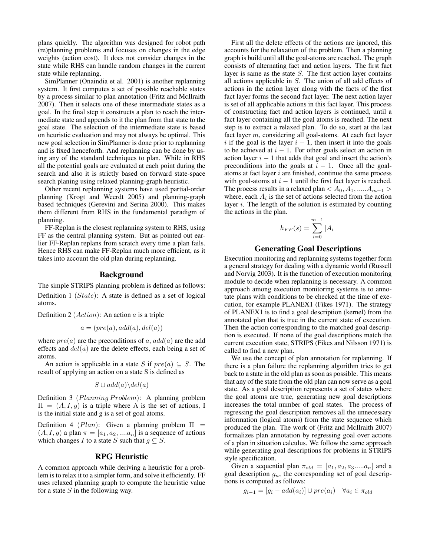plans quickly. The algorithm was designed for robot path (re)planning problems and focuses on changes in the edge weights (action cost). It does not consider changes in the state while RHS can handle random changes in the current state while replanning.

SimPlanner (Onaindia et al. 2001) is another replanning system. It first computes a set of possible reachable states by a process similar to plan annotation (Fritz and McIlraith 2007). Then it selects one of these intermediate states as a goal. In the final step it constructs a plan to reach the intermediate state and appends to it the plan from that state to the goal state. The selection of the intermediate state is based on heuristic evaluation and may not always be optimal. This new goal selection in SimPlanner is done prior to replanning and is fixed henceforth. And replanning can be done by using any of the standard techniques to plan. While in RHS all the potential goals are evaluated at each point during the search and also it is strictly based on forward state-space search planing using relaxed planning-graph heuristic.

Other recent replanning systems have used partial-order planning (Krogt and Weerdt 2005) and planning-graph based techniques (Gerevini and Serina 2000). This makes them different from RHS in the fundamental paradigm of planning.

FF-Replan is the closest replanning system to RHS, using FF as the central planning system. But as pointed out earlier FF-Replan replans from scratch every time a plan fails. Hence RHS can make FF-Replan much more efficient, as it takes into account the old plan during replanning.

## Background

The simple STRIPS planning problem is defined as follows: Definition  $1 (State)$ : A state is defined as a set of logical atoms.

Definition 2 ( $Action$ ): An action  $a$  is a triple

$$
a = (pre(a), add(a), del(a))
$$

where  $pre(a)$  are the preconditions of a,  $add(a)$  are the add effects and  $del(a)$  are the delete effects, each being a set of atoms.

An action is applicable in a state S if  $pre(a) \subseteq S$ . The result of applying an action on a state S is defined as

$$
S \cup add(a) \backslash del(a)
$$

Definition 3 (Planning Problem): A planning problem  $\Pi = (A, I, g)$  is a triple where A is the set of actions, I is the initial state and g is a set of goal atoms.

Definition 4 ( $Plan$ ): Given a planning problem  $\Pi =$  $(A, I, g)$  a plan  $\pi = [a_1, a_2, \dots, a_n]$  is a sequence of actions which changes I to a state S such that  $g \subseteq S$ .

#### RPG Heuristic

A common approach while deriving a heuristic for a problem is to relax it to a simpler form, and solve it efficiently. FF uses relaxed planning graph to compute the heuristic value for a state  $S$  in the following way.

First all the delete effects of the actions are ignored, this accounts for the relaxation of the problem. Then a planning graph is build until all the goal-atoms are reached. The graph consists of alternating fact and action layers. The first fact layer is same as the state  $S$ . The first action layer contains all actions applicable in S. The union of all add effects of actions in the action layer along with the facts of the first fact layer forms the second fact layer. The next action layer is set of all applicable actions in this fact layer. This process of constructing fact and action layers is continued, until a fact layer containing all the goal atoms is reached. The next step is to extract a relaxed plan. To do so, start at the last fact layer m, considering all goal-atoms. At each fact layer i if the goal is the layer  $i - 1$ , then insert it into the goals to be achieved at  $i - 1$ . For other goals select an action in action layer  $i - 1$  that adds that goal and insert the action's preconditions into the goals at  $i - 1$ . Once all the goalatoms at fact layer  $i$  are finished, continue the same process with goal-atoms at  $i - 1$  until the first fact layer is reached. The process results in a relaxed plan <  $A_0, A_1, \ldots, A_{m-1}$ where, each  $A_i$  is the set of actions selected from the action layer  $i$ . The length of the solution is estimated by counting the actions in the plan.

$$
h_{FF}(s) = \sum_{i=0}^{m-1} |A_i|
$$

## Generating Goal Descriptions

Execution monitoring and replanning systems together form a general strategy for dealing with a dynamic world (Russell and Norvig 2003). It is the function of execution monitoring module to decide when replanning is necessary. A common approach among execution monitoring systems is to annotate plans with conditions to be checked at the time of execution, for example PLANEX1 (Fikes 1971). The strategy of PLANEX1 is to find a goal description (kernel) from the annotated plan that is true in the current state of execution. Then the action corresponding to the matched goal description is executed. If none of the goal descriptions match the current execution state, STRIPS (Fikes and Nilsson 1971) is called to find a new plan.

We use the concept of plan annotation for replanning. If there is a plan failure the replanning algorithm tries to get back to a state in the old plan as soon as possible. This means that any of the state from the old plan can now serve as a goal state. As a goal description represents a set of states where the goal atoms are true, generating new goal descriptions increases the total number of goal states. The process of regressing the goal description removes all the unnecessary information (logical atoms) from the state sequence which produced the plan. The work of (Fritz and McIlraith 2007) formalizes plan annotation by regressing goal over actions of a plan in situation calculus. We follow the same approach while generating goal descriptions for problems in STRIPS style specification.

Given a sequential plan  $\pi_{old} = [a_1, a_2, a_3, \dots, a_n]$  and a goal description  $g_n$ , the corresponding set of goal descriptions is computed as follows:

$$
g_{i-1} = [g_i - add(a_i)] \cup pre(a_i) \quad \forall a_i \in \pi_{old}
$$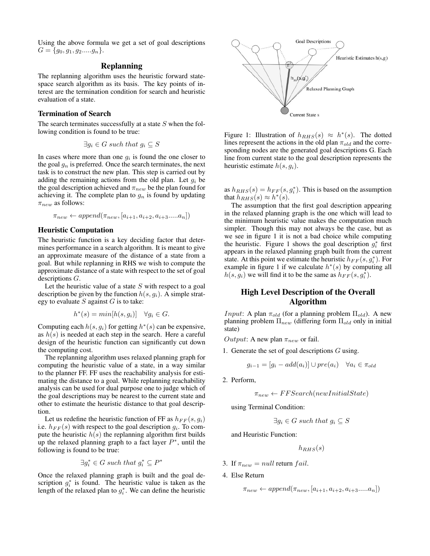Using the above formula we get a set of goal descriptions  $G = \{g_0, g_1, g_2, \ldots, g_n\}.$ 

# Replanning

The replanning algorithm uses the heuristic forward statespace search algorithm as its basis. The key points of interest are the termination condition for search and heuristic evaluation of a state.

#### Termination of Search

The search terminates successfully at a state  $S$  when the following condition is found to be true:

$$
\exists g_i \in G \ such \ that \ g_i \subseteq S
$$

In cases where more than one  $g_i$  is found the one closer to the goal  $g_n$  is preferred. Once the search terminates, the next task is to construct the new plan. This step is carried out by adding the remaining actions from the old plan. Let  $g_i$  be the goal description achieved and  $\pi_{new}$  be the plan found for achieving it. The complete plan to  $g_n$  is found by updating  $\pi_{new}$  as follows:

$$
\pi_{new} \leftarrow append(\pi_{new}, [a_{i+1}, a_{i+2}, a_{i+3} \dots a_n])
$$

#### Heuristic Computation

The heuristic function is a key deciding factor that determines performance in a search algorithm. It is meant to give an approximate measure of the distance of a state from a goal. But while replanning in RHS we wish to compute the approximate distance of a state with respect to the set of goal descriptions G.

Let the heuristic value of a state  $S$  with respect to a goal description be given by the function  $h(s, q_i)$ . A simple strategy to evaluate  $S$  against  $G$  is to take:

$$
h^*(s) = min[h(s, g_i)] \quad \forall g_i \in G.
$$

Computing each  $h(s, g_i)$  for getting  $h^*(s)$  can be expensive, as  $h(s)$  is needed at each step in the search. Here a careful design of the heuristic function can significantly cut down the computing cost.

The replanning algorithm uses relaxed planning graph for computing the heuristic value of a state, in a way similar to the planner FF. FF uses the reachability analysis for estimating the distance to a goal. While replanning reachability analysis can be used for dual purpose one to judge which of the goal descriptions may be nearest to the current state and other to estimate the heuristic distance to that goal description.

Let us redefine the heuristic function of FF as  $h_{FF}(s, g_i)$ i.e.  $h_{FF}(s)$  with respect to the goal description  $g_i$ . To compute the heuristic  $h(s)$  the replanning algorithm first builds up the relaxed planning graph to a fact layer  $P^*$ , until the following is found to be true:

$$
\exists g_i^* \in G \ such \ that \ g_i^* \subseteq P^*
$$

Once the relaxed planning graph is built and the goal description  $g_i^*$  is found. The heuristic value is taken as the length of the relaxed plan to  $g_i^*$ . We can define the heuristic



Figure 1: Illustration of  $h_{RHS}(s) \approx h^*(s)$ . The dotted lines represent the actions in the old plan  $\pi_{old}$  and the corresponding nodes are the generated goal descriptions G. Each line from current state to the goal description represents the heuristic estimate  $h(s, g_i)$ .

as  $h_{RHS}(s) = h_{FF}(s, g_i^*)$ . This is based on the assumption that  $h_{RHS}(s) \approx h^*(s)$ .

The assumption that the first goal description appearing in the relaxed planning graph is the one which will lead to the minimum heuristic value makes the computation much simpler. Though this may not always be the case, but as we see in figure 1 it is not a bad choice while computing the heuristic. Figure 1 shows the goal description  $g_i^*$  first appears in the relaxed planning graph built from the current state. At this point we estimate the heuristic  $h_{FF}(s, g_i^*)$ . For example in figure 1 if we calculate  $h^*(s)$  by computing all  $h(s, \hat{g}_i)$  we will find it to be the same as  $\hat{h}_{FF}(s, g_i^*)$ .

# High Level Description of the Overall Algorithm

*Input*: A plan  $\pi_{old}$  (for a planning problem  $\Pi_{old}$ ). A new planning problem  $\Pi_{new}$  (differing form  $\Pi_{old}$  only in initial state)

*Output*: A new plan  $\pi_{new}$  or fail.

1. Generate the set of goal descriptions  $G$  using.

$$
g_{i-1} = [g_i - add(a_i)] \cup pre(a_i) \quad \forall a_i \in \pi_{old}
$$

2. Perform,

$$
\pi_{new} \leftarrow FFSearch(newInitialState)
$$

using Terminal Condition:

$$
\exists g_i \in G \ such \ that \ g_i \subseteq S
$$

and Heuristic Function:

$$
h_{RHS}(s)
$$

- 3. If  $\pi_{new} = null$  return fail.
- 4. Else Return

$$
\pi_{new} \leftarrow append(\pi_{new}, [a_{i+1}, a_{i+2}, a_{i+3} \dots a_n])
$$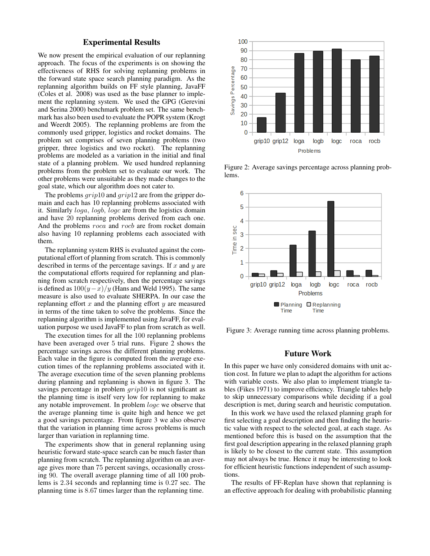# Experimental Results

We now present the empirical evaluation of our replanning approach. The focus of the experiments is on showing the effectiveness of RHS for solving replanning problems in the forward state space search planning paradigm. As the replanning algorithm builds on FF style planning, JavaFF (Coles et al. 2008) was used as the base planner to implement the replanning system. We used the GPG (Gerevini and Serina 2000) benchmark problem set. The same benchmark has also been used to evaluate the POPR system (Krogt and Weerdt 2005). The replanning problems are from the commonly used gripper, logistics and rocket domains. The problem set comprises of seven planning problems (two gripper, three logistics and two rocket). The replanning problems are modeled as a variation in the initial and final state of a planning problem. We used hundred replanning problems from the problem set to evaluate our work. The other problems were unsuitable as they made changes to the goal state, which our algorithm does not cater to.

The problems  $grip10$  and  $grip12$  are from the gripper domain and each has 10 replanning problems associated with it. Similarly loga, logb, logc are from the logistics domain and have 20 replanning problems derived from each one. And the problems roca and rocb are from rocket domain also having 10 replanning problems each associated with them.

The replanning system RHS is evaluated against the computational effort of planning from scratch. This is commonly described in terms of the percentage savings. If  $x$  and  $y$  are the computational efforts required for replanning and planning from scratch respectively, then the percentage savings is defined as  $100(y-x)/y$  (Hans and Weld 1995). The same measure is also used to evaluate SHERPA. In our case the replanning effort  $x$  and the planning effort  $y$  are measured in terms of the time taken to solve the problems. Since the replanning algorithm is implemented using JavaFF, for evaluation purpose we used JavaFF to plan from scratch as well.

The execution times for all the 100 replanning problems have been averaged over 5 trial runs. Figure 2 shows the percentage savings across the different planning problems. Each value in the figure is computed from the average execution times of the replanning problems associated with it. The average execution time of the seven planning problems during planning and replanning is shown in figure 3. The savings percentage in problem  $grip10$  is not significant as the planning time is itself very low for replanning to make any notable improvement. In problem logc we observe that the average planning time is quite high and hence we get a good savings percentage. From figure 3 we also observe that the variation in planning time across problems is much larger than variation in replanning time.

The experiments show that in general replanning using heuristic forward state-space search can be much faster than planning from scratch. The replanning algorithm on an average gives more than 75 percent savings, occasionally crossing 90. The overall average planning time of all 100 problems is 2.34 seconds and replanning time is 0.27 sec. The planning time is 8.67 times larger than the replanning time.



Figure 2: Average savings percentage across planning problems.



Figure 3: Average running time across planning problems.

#### Future Work

In this paper we have only considered domains with unit action cost. In future we plan to adapt the algorithm for actions with variable costs. We also plan to implement triangle tables (Fikes 1971) to improve efficiency. Triangle tables help to skip unnecessary comparisons while deciding if a goal description is met, during search and heuristic computation.

In this work we have used the relaxed planning graph for first selecting a goal description and then finding the heuristic value with respect to the selected goal, at each stage. As mentioned before this is based on the assumption that the first goal description appearing in the relaxed planning graph is likely to be closest to the current state. This assumption may not always be true. Hence it may be interesting to look for efficient heuristic functions independent of such assumptions.

The results of FF-Replan have shown that replanning is an effective approach for dealing with probabilistic planning